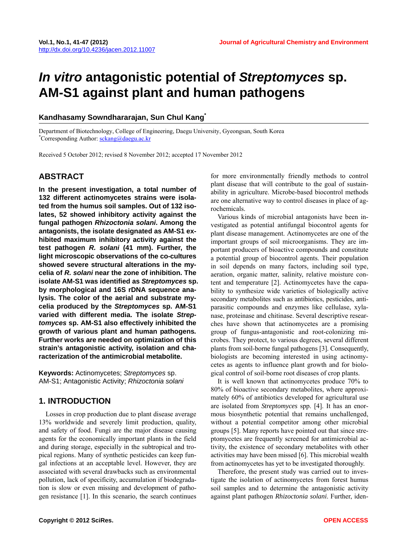# *In vitro* **antagonistic potential of** *Streptomyces* **sp. AM-S1 against plant and human pathogens**

#### **Kandhasamy Sowndhararajan, Sun Chul Kang\***

Department of Biotechnology, College of Engineering, Daegu University, Gyeongsan, South Korea \* <sup>\*</sup>Corresponding Author: **[sckang@daegu.ac.kr](mailto:sckang@daegu.ac.kr)** 

Received 5 October 2012; revised 8 November 2012; accepted 17 November 2012

## **ABSTRACT**

**In the present investigation, a total number of 132 different actinomycetes strains were isolated from the humus soil samples. Out of 132 isolates, 52 showed inhibitory activity against the fungal pathogen** *Rhizoctonia solani***. Among the antagonists, the isolate designated as AM-S1 exhibited maximum inhibitory activity against the test pathogen** *R. solani* **(41 mm). Further, the light microscopic observations of the co-cultures showed severe structural alterations in the mycelia of** *R. solani* **near the zone of inhibition. The isolate AM-S1 was identified as** *Streptomyces* **sp. by morphological and 16S rDNA sequence analysis. The color of the aerial and substrate mycelia produced by the** *Streptomyces* **sp. AM-S1 varied with different media. The isolate** *Streptomyces* **sp. AM-S1 also effectively inhibited the growth of various plant and human pathogens***.*  **Further works are needed on optimization of this strain's antagonistic activity, isolation and characterization of the antimicrobial metabolite.** 

**Keywords:** Actinomycetes; *Streptomyces* sp. AM-S1; Antagonistic Activity; *Rhizoctonia solani*

# **1. INTRODUCTION**

Losses in crop production due to plant disease average 13% worldwide and severely limit production, quality, and safety of food. Fungi are the major disease causing agents for the economically important plants in the field and during storage, especially in the subtropical and tropical regions. Many of synthetic pesticides can keep fungal infections at an acceptable level. However, they are associated with several drawbacks such as environmental pollution, lack of specificity, accumulation if biodegradation is slow or even missing and development of pathogen resistance [1]. In this scenario, the search continues for more environmentally friendly methods to control plant disease that will contribute to the goal of sustainability in agriculture. Microbe-based biocontrol methods are one alternative way to control diseases in place of agrochemicals.

Various kinds of microbial antagonists have been investigated as potential antifungal biocontrol agents for plant disease management. Actinomycetes are one of the important groups of soil microorganisms. They are important producers of bioactive compounds and constitute a potential group of biocontrol agents. Their population in soil depends on many factors, including soil type, aeration, organic matter, salinity, relative moisture content and temperature [2]. Actinomycetes have the capability to synthesize wide varieties of biologically active secondary metabolites such as antibiotics, pesticides, antiparasitic compounds and enzymes like cellulase, xylanase, proteinase and chitinase. Several descriptive researches have shown that actinomycetes are a promising group of fungus-antagonistic and root-colonizing microbes. They protect, to various degrees, several different plants from soil-borne fungal pathogens [3]. Consequently, biologists are becoming interested in using actinomycetes as agents to influence plant growth and for biological control of soil-borne root diseases of crop plants.

It is well known that actinomycetes produce 70% to 80% of bioactive secondary metabolites, where approximately 60% of antibiotics developed for agricultural use are isolated from *Streptomyces* spp. [4]. It has an enormous biosynthetic potential that remains unchallenged, without a potential competitor among other microbial groups [5]. Many reports have pointed out that since streptomycetes are frequently screened for antimicrobial activity, the existence of secondary metabolites with other activities may have been missed [6]. This microbial wealth from actinomycetes has yet to be investigated thoroughly.

Therefore, the present study was carried out to investigate the isolation of actinomycetes from forest humus soil samples and to determine the antagonistic activity against plant pathogen *Rhizoctonia solani*. Further, iden-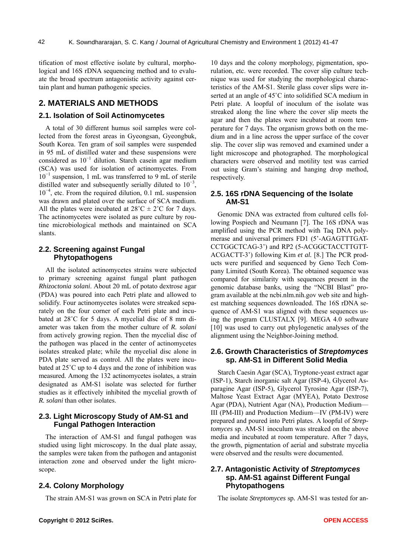tification of most effective isolate by cultural, morphological and 16S rDNA sequencing method and to evaluate the broad spectrum antagonistic activity against certain plant and human pathogenic species.

# **2. MATERIALS AND METHODS**

#### **2.1. Isolation of Soil Actinomycetes**

A total of 30 different humus soil samples were collected from the forest areas in Gyeongsan, Gyeongbuk, South Korea. Ten gram of soil samples were suspended in 95 mL of distilled water and these suspensions were considered as 10<sup>−</sup><sup>1</sup> dilution. Starch casein agar medium (SCA) was used for isolation of actinomycetes. From 10<sup>−</sup><sup>1</sup> suspension, 1 mL was transferred to 9 mL of sterile distilled water and subsequently serially diluted to  $10^{-3}$ , 10<sup>−</sup><sup>4</sup> , etc. From the required dilution, 0.1 mL suspension was drawn and plated over the surface of SCA medium. All the plates were incubated at  $28^{\circ}$ C  $\pm$  2°C for 7 days. The actinomycetes were isolated as pure culture by routine microbiological methods and maintained on SCA slants.

#### **2.2. Screening against Fungal Phytopathogens**

All the isolated actinomycetes strains were subjected to primary screening against fungal plant pathogen *Rhizoctonia solani*. About 20 mL of potato dextrose agar (PDA) was poured into each Petri plate and allowed to solidify. Four actinomycetes isolates were streaked separately on the four corner of each Petri plate and incubated at 28˚C for 5 days. A mycelial disc of 8 mm diameter was taken from the mother culture of *R. solani* from actively growing region. Then the mycelial disc of the pathogen was placed in the center of actinomycetes isolates streaked plate; while the mycelial disc alone in PDA plate served as control. All the plates were incubated at 25˚C up to 4 days and the zone of inhibition was measured. Among the 132 actinomycetes isolates, a strain designated as AM-S1 isolate was selected for further studies as it effectively inhibited the mycelial growth of *R. solani* than other isolates.

## **2.3. Light Microscopy Study of AM-S1 and Fungal Pathogen Interaction**

The interaction of AM-S1 and fungal pathogen was studied using light microscopy. In the dual plate assay, the samples were taken from the pathogen and antagonist interaction zone and observed under the light microscope.

## **2.4. Colony Morphology**

The strain AM-S1 was grown on SCA in Petri plate for

10 days and the colony morphology, pigmentation, sporulation, etc. were recorded. The cover slip culture technique was used for studying the morphological characteristics of the AM-S1. Sterile glass cover slips were inserted at an angle of 45˚C into solidified SCA medium in Petri plate. A loopful of inoculum of the isolate was streaked along the line where the cover slip meets the agar and then the plates were incubated at room temperature for 7 days. The organism grows both on the medium and in a line across the upper surface of the cover slip. The cover slip was removed and examined under a light microscope and photographed. The morphological characters were observed and motility test was carried out using Gram's staining and hanging drop method, respectively.

#### **2.5. 16S rDNA Sequencing of the Isolate AM-S1**

Genomic DNA was extracted from cultured cells following Pospiech and Neumann [7]. The 16S rDNA was amplified using the PCR method with Taq DNA polymerase and universal primers FD1 (5'-AGAGTTTGAT-CCTGGCTCAG-3') and RP2 (5-ACGGCTACCTTGTT-ACGACTT-3') following Kim *et al.* [8.] The PCR products were purified and sequenced by Geno Tech Company Limited (South Korea). The obtained sequence was compared for similarity with sequences present in the genomic database banks, using the "NCBI Blast" program available at the ncbi.nlm.nih.gov web site and highest matching sequences downloaded. The 16S rDNA sequence of AM-S1 was aligned with these sequences using the program CLUSTALX [9]. MEGA 4.0 software [10] was used to carry out phylogenetic analyses of the alignment using the Neighbor-Joining method.

#### **2.6. Growth Characteristics of** *Streptomyces* **sp. AM-S1 in Different Solid Media**

Starch Caesin Agar (SCA), Tryptone-yeast extract agar (ISP-1), Starch inorganic salt Agar (ISP-4), Glycerol Asparagine Agar (ISP-5), Glycerol Tyrosine Agar (ISP-7), Maltose Yeast Extract Agar (MYEA), Potato Dextrose Agar (PDA), Nutrient Agar (NA), Production Medium— III (PM-III) and Production Medium—IV (PM-IV) were prepared and poured into Petri plates. A loopful of *Streptomyces* sp. AM-S1 inoculum was streaked on the above media and incubated at room temperature. After 7 days, the growth, pigmentation of aerial and substrate mycelia were observed and the results were documented.

#### **2.7. Antagonistic Activity of** *Streptomyces* **sp. AM-S1 against Different Fungal Phytopathogens**

The isolate *Streptomyces* sp*.* AM-S1 was tested for an-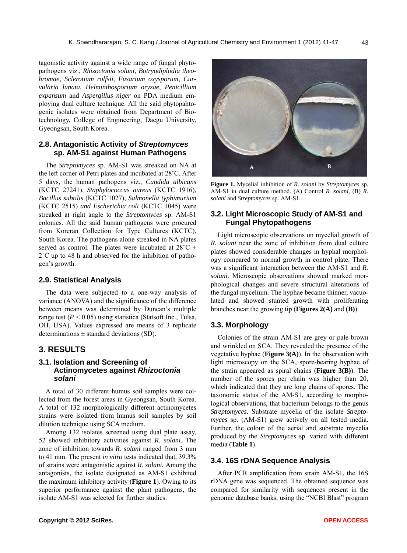tagonistic activity against a wide range of fungal phytopathogens viz., *Rhizoctonia solani*, *Botryodiplodia theobromae*, *Sclerotium rolfsii*, *Fusarium oxysporum*, *Curvularia lunata*, *Helminthosporium oryzae*, *Penicillium expansum* and *Aspergillus niger* on PDA medium employing dual culture technique. All the said phytopahtogenic isolates were obtained from Department of Biotechnology, College of Engineering, Daegu University, Gyeongsan, South Korea.

#### **2.8. Antagonistic Activity of** *Streptomyces* **sp. AM-S1 against Human Pathogens**

The *Streptomyces* sp. AM-S1 was streaked on NA at the left corner of Petri plates and incubated at 28˚C. After 5 days, the human pathogens viz., *Candida albicans* (KCTC 27241), *Staphylococcus aureus* (KCTC 1916), *Bacillus subtilis* (KCTC 1027), *Salmonella typhimurium*  (KCTC 2515) *and Escherichia coli* (KCTC 1045) were streaked at right angle to the *Streptomyces* sp. AM-S1 colonies. All the said human pathogens were procured from Koreran Collection for Type Cultures (KCTC), South Korea. The pathogens alone streaked in NA plates served as control. The plates were incubated at  $28^{\circ}$ C  $\pm$ 2˚C up to 48 h and observed for the inhibition of pathogen's growth.

#### **2.9. Statistical Analysis**

The data were subjected to a one-way analysis of variance (ANOVA) and the significance of the difference between means was determined by Duncan's multiple range test  $(P < 0.05)$  using statistica (Statsoft Inc., Tulsa, OH, USA). Values expressed are means of 3 replicate determinations  $\pm$  standard deviations (SD).

# **3. RESULTS**

## **3.1. Isolation and Screening of Actinomycetes against** *Rhizoctonia solani*

A total of 30 different humus soil samples were collected from the forest areas in Gyeongsan, South Korea. A total of 132 morphologically different actinomycetes strains were isolated from humus soil samples by soil dilution technique using SCA medium.

Among 132 isolates screened using dual plate assay, 52 showed inhibitory activities against *R. solani*. The zone of inhibition towards *R. solani* ranged from 3 mm to 41 mm. The present *in vitro* tests indicated that, 39.3% of strains were antagonistic against *R. solani.* Among the antagonists, the isolate designated as AM-S1 exhibited the maximum inhibitory activity (**Figure 1**). Owing to its superior performance against the plant pathogens, the isolate AM-S1 was selected for further studies.



**Figure 1.** Mycelial inhibition of *R. solani* by *Streptomyces* sp. AM-S1 in dual culture method. (A) Control *R. solani*, (B) *R. solani* and *Streptomyces* sp. AM-S1.

# **3.2. Light Microscopic Study of AM-S1 and Fungal Phytopathogens**

Light microscopic observations on mycelial growth of *R. solani* near the zone of inhibition from dual culture plates showed considerable changes in hyphal morphology compared to normal growth in control plate. There was a significant interaction between the AM-S1 and *R. solani*. Microscopic observations showed marked morphological changes and severe structural alterations of the fungal mycelium. The hyphae became thinner, vacuolated and showed stunted growth with proliferating branches near the growing tip (**Figures 2(A)** and **(B)**).

## **3.3. Morphology**

Colonies of the strain AM-S1 are grey or pale brown and wrinkled on SCA. They revealed the presence of the vegetative hyphae (**Figure 3(A)**). In the observation with light microscopy on the SCA, spore-bearing hyphae of the strain appeared as spiral chains (**Figure 3(B)**). The number of the spores per chain was higher than 20, which indicated that they are long chains of spores. The taxonomic status of the AM-S1, according to morphological observations, that bacterium belongs to the genus *Streptomyces*. Substrate mycelia of the isolate *Streptomyces* sp. (AM-S1) grew actively on all tested media. Further, the colour of the aerial and substrate mycelia produced by the *Streptomyces* sp. varied with different media (**Table 1**).

#### **3.4. 16S rDNA Sequence Analysis**

After PCR amplification from strain AM-S1, the 16S rDNA gene was sequenced. The obtained sequence was compared for similarity with sequences present in the genomic database banks, using the "NCBI Blast" program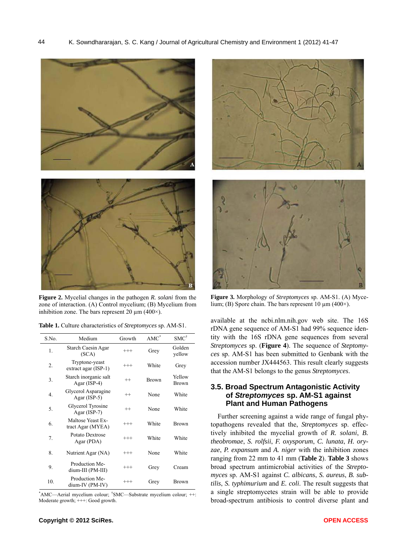

**Figure 2.** Mycelial changes in the pathogen *R. solani* from the zone of interaction. (A) Control mycelium; (B) Mycelium from inhibition zone. The bars represent 20  $\mu$ m (400 $\times$ ).

|  |  |  |  |  | Table 1. Culture characteristics of Streptomyces sp. AM-S1. |  |
|--|--|--|--|--|-------------------------------------------------------------|--|
|--|--|--|--|--|-------------------------------------------------------------|--|

| S.No. | Medium                                 | Growth   | $AMC^*$      | $SMC^{\dagger}$  |
|-------|----------------------------------------|----------|--------------|------------------|
| 1.    | Starch Caesin Agar<br>(SCA)            | $^{+++}$ | Grey         | Golden<br>yellow |
| 2.    | Tryptone-yeast<br>extract agar (ISP-1) | $^{+++}$ | White        | Grey             |
| 3.    | Starch inorganic salt<br>Agar (ISP-4)  | $^{++}$  | <b>Brown</b> | Yellow<br>Brown  |
| 4.    | Glycerol Asparagine<br>Agar $(ISP-5)$  | $^{++}$  | None         | White            |
| 5.    | Glycerol Tyrosine<br>Agar (ISP-7)      | $^{++}$  | None         | White            |
| 6.    | Maltose Yeast Ex-<br>tract Agar (MYEA) | $^{+++}$ | White        | <b>Brown</b>     |
| 7.    | Potato Dextrose<br>Agar (PDA)          | $^{+++}$ | White        | White            |
| 8.    | Nutrient Agar (NA)                     | $^{+++}$ | None         | White            |
| 9.    | Production Me-<br>dium-III (PM-III)    | $^{+++}$ | Grey         | Cream            |
| 10.   | Production Me-<br>dium-IV (PM-IV)      | $^{+++}$ | Grey         | Brown            |

\* AMC—Aerial mycelium colour; † SMC—Substrate mycelium colour; ++: Moderate growth; +++: Good growth.





**Figure 3.** Morphology of *Streptomyces* sp. AM-S1. (A) Mycelium; (B) Spore chain. The bars represent 10 µm (400×).

available at the ncbi.nlm.nih.gov web site. The 16S rDNA gene sequence of AM-S1 had 99% sequence identity with the 16S rDNA gene sequences from several *Streptomyces* sp. (**Figure 4**). The sequence of *Steptomyces* sp. AM-S1 has been submitted to Genbank with the accession number JX444563. This result clearly suggests that the AM-S1 belongs to the genus *Streptomyces*.

## **3.5. Broad Spectrum Antagonistic Activity of** *Streptomyces* **sp. AM-S1 against Plant and Human Pathogens**

Further screening against a wide range of fungal phytopathogens revealed that the, *Streptomyces* sp. effectively inhibited the mycelial growth of *R. solani*, *B. theobromae*, *S. rolfsii*, *F. oxysporum*, *C. lunata*, *H. oryzae*, *P. expansum* and *A. niger* with the inhibition zones ranging from 22 mm to 41 mm (**Table 2**). **Table 3** shows broad spectrum antimicrobial activities of the *Streptomyces* sp. AM-S1 against *C. albicans*, *S. aureus*, *B. subtilis*, *S. typhimurium* and *E. coli*. The result suggests that a single streptomycetes strain will be able to provide broad-spectrum antibiosis to control diverse plant and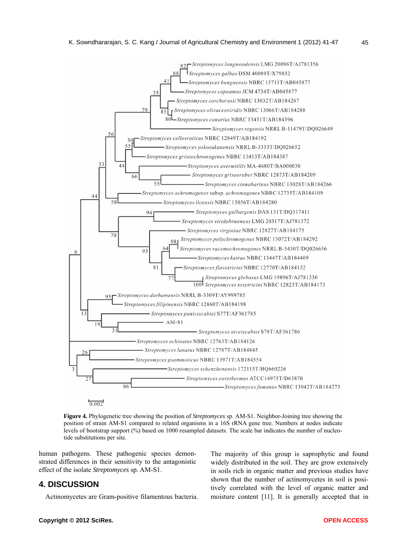

**Figure 4.** Phylogenetic tree showing the position of *Streptomyces* sp. AM-S1. Neighbor-Joining tree showing the position of strain AM-S1 compared to related organisms in a 16S rRNA gene tree. Numbers at nodes indicate levels of bootstrap support (%) based on 1000 resampled datasets. The scale bar indicates the number of nucleotide substitutions per site.

human pathogens. These pathogenic species demonstrated differences in their sensitivity to the antagonistic effect of the isolate *Streptomyces* sp. AM-S1.

## **4. DISCUSSION**

Actinomycetes are Gram-positive filamentous bacteria.

The majority of this group is saprophytic and found widely distributed in the soil. They are grow extensively in soils rich in organic matter and previous studies have shown that the number of actinomycetes in soil is positively correlated with the level of organic matter and moisture content [11]. It is generally accepted that in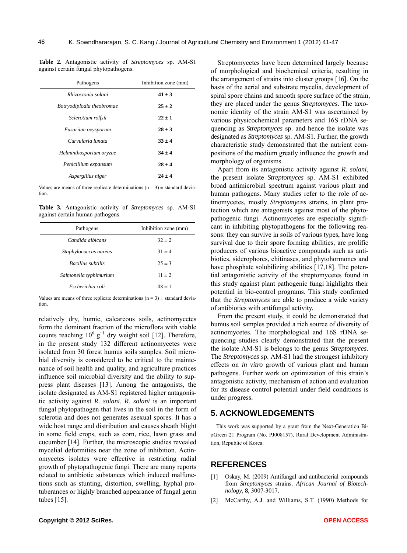**Table 2.** Antagonistic activity of *Streptomyces* sp. AM-S1 against certain fungal phytopathogens.

| Pathogens                 | Inhibition zone (mm) |
|---------------------------|----------------------|
| Rhizoctonia solani        | $41 \pm 3$           |
| Botryodiplodia theobromae | $25 \pm 2$           |
| Sclerotium rolfsii        | $22 \pm 1$           |
| Fusarium oxysporum        | $28 \pm 3$           |
| Curvularia lunata         | $33 \pm 4$           |
| Helminthosporium oryzae   | $34 \pm 4$           |
| Penicillium expansum      | $28 \pm 4$           |
| Aspergillus niger         | $24 \pm 4$           |

Values are means of three replicate determinations  $(n = 3) \pm$  standard deviation.

**Table 3.** Antagonistic activity of *Streptomyces* sp. AM-S1 against certain human pathogens.

| Pathogens              | Inhibition zone (mm) |  |
|------------------------|----------------------|--|
| Candida albicans       | $32 \pm 2$           |  |
| Staphylococcus aureus  | $31 \pm 4$           |  |
| Bacillus subtilis      | $25 \pm 3$           |  |
| Salmonella typhimurium | $11 \pm 2$           |  |
| Escherichia coli       | $08 \pm 1$           |  |

Values are means of three replicate determinations  $(n = 3) \pm$  standard deviation.

relatively dry, humic, calcareous soils, actinomycetes form the dominant fraction of the microflora with viable counts reaching  $10^6$  g<sup>-1</sup> dry weight soil [12]. Therefore, in the present study 132 different actinomycetes were isolated from 30 forest humus soils samples. Soil microbial diversity is considered to be critical to the maintenance of soil health and quality, and agriculture practices influence soil microbial diversity and the ability to suppress plant diseases [13]. Among the antagonists, the isolate designated as AM-S1 registered higher antagonistic activity against *R. solani*. *R. solani* is an important fungal phytopathogen that lives in the soil in the form of sclerotia and does not generates asexual spores. It has a wide host range and distribution and causes sheath blight in some field crops, such as corn, rice, lawn grass and cucumber [14]. Further, the microscopic studies revealed mycelial deformities near the zone of inhibition. Actinomycetes isolates were effective in restricting radial growth of phytopathogenic fungi. There are many reports related to antibiotic substances which induced malfunctions such as stunting, distortion, swelling, hyphal protuberances or highly branched appearance of fungal germ tubes [15].

Streptomycetes have been determined largely because of morphological and biochemical criteria, resulting in the arrangement of strains into cluster groups [16]. On the basis of the aerial and substrate mycelia, development of spiral spore chains and smooth spore surface of the strain, they are placed under the genus *Streptomyces*. The taxonomic identity of the strain AM-S1 was ascertained by various physicochemical parameters and 16S rDNA sequencing as *Streptomyces* sp. and hence the isolate was designated as *Streptomyces* sp. AM-S1. Further, the growth characteristic study demonstrated that the nutrient compositions of the medium greatly influence the growth and morphology of organisms.

Apart from its antagonistic activity against *R. solani*, the present isolate *Streptomyces* sp. AM-S1 exhibited broad antimicrobial spectrum against various plant and human pathogens. Many studies refer to the role of actinomycetes, mostly *Streptomyces* strains, in plant protection which are antagonists against most of the phytopathogenic fungi. Actinomycetes are especially significant in inhibiting phytopathogens for the following reasons: they can survive in soils of various types, have long survival due to their spore forming abilities, are prolific producers of various bioactive compounds such as antibiotics, siderophores, chitinases, and phytohormones and have phosphate solubilizing abilities [17,18]. The potential antagonistic activity of the streptomycetes found in this study against plant pathogenic fungi highlights their potential in bio-control programs. This study confirmed that the *Streptomyces* are able to produce a wide variety of antibiotics with antifungal activity.

From the present study, it could be demonstrated that humus soil samples provided a rich source of diversity of actinomycetes. The morphological and 16S rDNA sequencing studies clearly demonstrated that the present the isolate AM-S1 is belongs to the genus *Streptomyces*. The *Streptomyces* sp. AM-S1 had the strongest inhibitory effects on *in vitro* growth of various plant and human pathogens. Further work on optimization of this strain's antagonistic activity, mechanism of action and evaluation for its disease control potential under field conditions is under progress.

# **5. ACKNOWLEDGEMENTS**

This work was supported by a grant from the Next-Generation BioGreen 21 Program (No. PJ008157), Rural Development Administration, Republic of Korea.

#### **REFERENCES**

- [1] Oskay, M. (2009) Antifungal and antibacterial compounds from *Streptomyces* strains. *African Journal of Biotechnology*, **8**, 3007-3017.
- [2] McCarthy, A.J. and Williams, S.T. (1990) Methods for